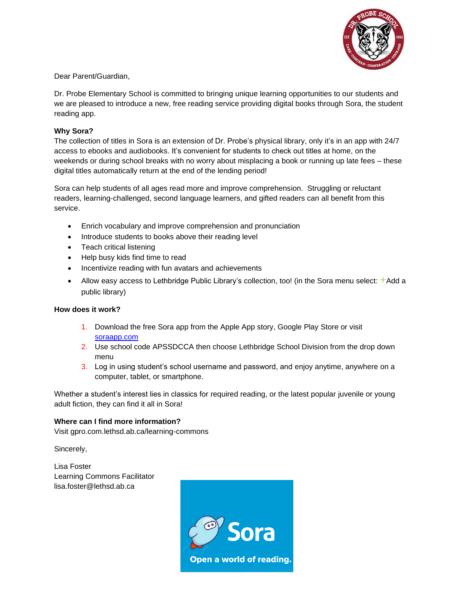

Dear Parent/Guardian,

Dr. Probe Elementary School is committed to bringing unique learning opportunities to our students and we are pleased to introduce a new, free reading service providing digital books through Sora, the student reading app.

## **Why Sora?**

The collection of titles in Sora is an extension of Dr. Probe's physical library, only it's in an app with 24/7 access to ebooks and audiobooks. It's convenient for students to check out titles at home, on the weekends or during school breaks with no worry about misplacing a book or running up late fees – these digital titles automatically return at the end of the lending period!

Sora can help students of all ages read more and improve comprehension. Struggling or reluctant readers, learning-challenged, second language learners, and gifted readers can all benefit from this service.

- Enrich vocabulary and improve comprehension and pronunciation
- Introduce students to books above their reading level
- Teach critical listening
- Help busy kids find time to read
- Incentivize reading with fun avatars and achievements
- Allow easy access to Lethbridge Public Library's collection, too! (in the Sora menu select: +Add a public library)

## **How does it work?**

- 1. Download the free Sora app from the Apple App story, Google Play Store or visit [soraapp.com](https://soraapp.com/)
- 2. Use school code APSSDCCA then choose Lethbridge School Division from the drop down menu
- 3. Log in using student's school username and password, and enjoy anytime, anywhere on a computer, tablet, or smartphone.

Whether a student's interest lies in classics for required reading, or the latest popular juvenile or young adult fiction, they can find it all in Sora!

## **Where can I find more information?**

Visit gpro.com.lethsd.ab.ca/learning-commons

Sincerely,

Lisa Foster Learning Commons Facilitator lisa.foster@lethsd.ab.ca